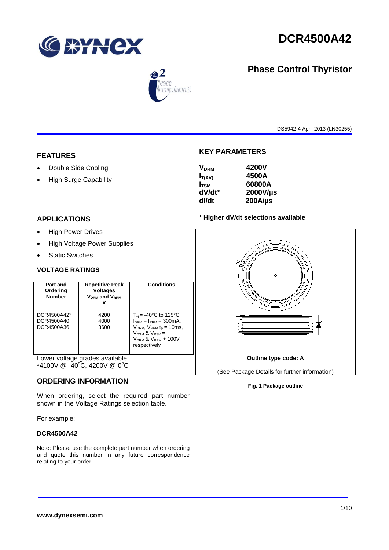

# **DCR4500A42**

## **Phase Control Thyristor**



DS5942-4 April 2013 (LN30255)

## **FEATURES**

- Double Side Cooling
- High Surge Capability

#### **APPLICATIONS**

- High Power Drives
- High Voltage Power Supplies
- Static Switches

#### **VOLTAGE RATINGS**

| Part and<br>Ordering<br><b>Number</b>   | <b>Repetitive Peak</b><br><b>Voltages</b><br><b>VDRM</b> and VRRM | <b>Conditions</b>                                                                                                                                                            |
|-----------------------------------------|-------------------------------------------------------------------|------------------------------------------------------------------------------------------------------------------------------------------------------------------------------|
| DCR4500A42*<br>DCR4500A40<br>DCR4500A36 | 4200<br>4000<br>3600                                              | $T_{\rm vi}$ = -40°C to 125°C,<br>$IDRM = IRRM = 300mA.$<br>$V_{DRM}$ , $V_{RRM}$ $t_{p}$ = 10ms,<br>$V_{DSM}$ & $V_{RSM}$ =<br>$V_{DRM}$ & $V_{RRM}$ + 100V<br>respectively |

Lower voltage grades available. \*4100V  $\circledR$  -40°C, 4200V  $\circledR$  0°C

#### **ORDERING INFORMATION**

When ordering, select the required part number shown in the Voltage Ratings selection table.

For example:

#### **DCR4500A42**

Note: Please use the complete part number when ordering and quote this number in any future correspondence relating to your order.

### **KEY PARAMETERS**

| 4200V        |
|--------------|
| 4500A        |
| 60800A       |
| 2000V/µs     |
| $200A/\mu s$ |
|              |

#### \* **Higher dV/dt selections available**



#### **Fig. 1 Package outline**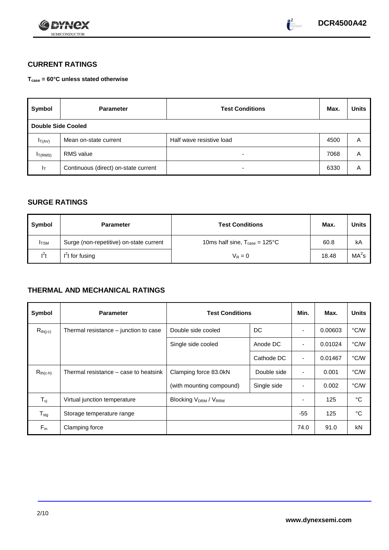



## **CURRENT RATINGS**

**Tcase = 60°C unless stated otherwise**

| Symbol              | <b>Parameter</b>                     | <b>Test Conditions</b>   | Max. | <b>Units</b> |
|---------------------|--------------------------------------|--------------------------|------|--------------|
| Double Side Cooled  |                                      |                          |      |              |
| $I_T(AV)$           | Mean on-state current                | Half wave resistive load | 4500 | Α            |
| I <sub>T(RMS)</sub> | <b>RMS</b> value                     | $\overline{\phantom{0}}$ | 7068 | A            |
| $I_{\rm T}$         | Continuous (direct) on-state current | $\overline{\phantom{0}}$ | 6330 | Α            |

## **SURGE RATINGS**

| Symbol       | <b>Parameter</b>                        | <b>Test Conditions</b>                           | Max.  | <b>Units</b>      |
|--------------|-----------------------------------------|--------------------------------------------------|-------|-------------------|
| <b>I</b> TSM | Surge (non-repetitive) on-state current | 10ms half sine, $T_{\text{case}} = 125^{\circ}C$ | 60.8  | kA                |
| $l^2t$       | $I2t$ for fusing                        | $V_R = 0$                                        | 18.48 | MA <sup>2</sup> s |

## **THERMAL AND MECHANICAL RATINGS**

| Symbol                     | <b>Parameter</b>                      | <b>Test Conditions</b>      |             | Min.  | Max.    | <b>Units</b> |
|----------------------------|---------------------------------------|-----------------------------|-------------|-------|---------|--------------|
| $R_{th(j-c)}$              | Thermal resistance – junction to case | Double side cooled          | DC          |       | 0.00603 | °C/W         |
|                            |                                       | Single side cooled          | Anode DC    |       | 0.01024 | °C/W         |
|                            |                                       |                             | Cathode DC  | ٠     | 0.01467 | °C/W         |
| $R_{th(c-h)}$              | Thermal resistance – case to heatsink | Clamping force 83.0kN       | Double side | ٠     | 0.001   | °C/W         |
|                            |                                       | (with mounting compound)    | Single side |       | 0.002   | °C/W         |
| $T_{\nu j}$                | Virtual junction temperature          | <b>Blocking VDRM / VRRM</b> |             | ٠     | 125     | °C           |
| ${\mathsf T}_{\text{stg}}$ | Storage temperature range             |                             |             | $-55$ | 125     | °C           |
| $F_m$                      | Clamping force                        |                             |             | 74.0  | 91.0    | kN           |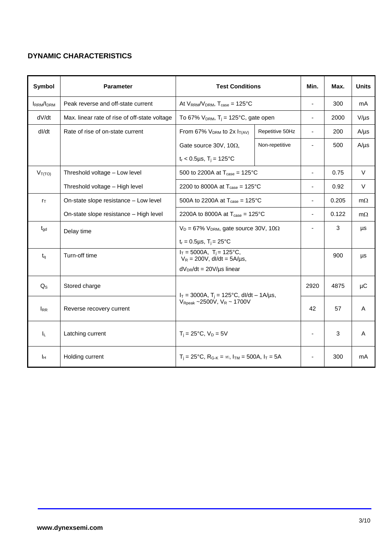## **DYNAMIC CHARACTERISTICS**

| Symbol            | <b>Parameter</b>                              | <b>Test Conditions</b>                                                  |                 | Min.                     | Max.  | <b>Units</b> |
|-------------------|-----------------------------------------------|-------------------------------------------------------------------------|-----------------|--------------------------|-------|--------------|
| <b>IRRM</b> /IDRM | Peak reverse and off-state current            | At $V_{RRM}/V_{DRM}$ , $T_{case} = 125^{\circ}C$                        |                 | $\blacksquare$           | 300   | mA           |
| dV/dt             | Max. linear rate of rise of off-state voltage | To 67% $V_{DRM}$ , T <sub>i</sub> = 125°C, gate open                    |                 | $\blacksquare$           | 2000  | $V/\mu s$    |
| dl/dt             | Rate of rise of on-state current              | From 67% $V_{DRM}$ to 2x $I_{T(AV)}$                                    | Repetitive 50Hz | $\blacksquare$           | 200   | $A/\mu s$    |
|                   |                                               | Gate source 30V, 10 $\Omega$ ,                                          | Non-repetitive  |                          | 500   | $A/\mu s$    |
|                   |                                               | $t_r$ < 0.5µs, T <sub>i</sub> = 125°C                                   |                 |                          |       |              |
| $V_{T(TO)}$       | Threshold voltage - Low level                 | 500 to 2200A at $T_{\text{case}} = 125^{\circ}C$                        |                 | ÷,                       | 0.75  | $\vee$       |
|                   | Threshold voltage - High level                | 2200 to 8000A at $T_{\text{case}} = 125^{\circ}C$                       |                 | $\overline{\phantom{a}}$ | 0.92  | V            |
| $r_{\text{T}}$    | On-state slope resistance - Low level         | 500A to 2200A at $T_{\text{case}} = 125^{\circ}$ C                      |                 | ä,                       | 0.205 | $m\Omega$    |
|                   | On-state slope resistance - High level        | 2200A to 8000A at $T_{\text{case}} = 125^{\circ} \text{C}$              |                 | $\blacksquare$           | 0.122 | $m\Omega$    |
| $t_{\rm gd}$      | Delay time                                    | $V_D = 67\%$ V <sub>DRM</sub> , gate source 30V, 10 $\Omega$            |                 |                          | 3     | μs           |
|                   |                                               | $t_r = 0.5 \mu s$ , $T_i = 25^{\circ}C$                                 |                 |                          |       |              |
| $t_{\rm q}$       | Turn-off time                                 | $I_T = 5000A$ , $T_i = 125^{\circ}C$ ,<br>$V_R = 200V$ , dl/dt = 5A/µs, |                 |                          | 900   | μs           |
|                   |                                               | $dV_{DR}/dt = 20V/\mu s$ linear                                         |                 |                          |       |              |
| $Q_{\rm S}$       | Stored charge                                 | $I_T = 3000A$ , $T_i = 125^{\circ}C$ , dl/dt - 1A/µs,                   |                 | 2920                     | 4875  | μC           |
| <b>IRR</b>        | Reverse recovery current                      | $V_{\text{Reak}}$ ~2500V, $V_R$ ~ 1700V                                 |                 | 42                       | 57    | A            |
| $I_L$             | Latching current                              | $T_i = 25^{\circ}C$ , $V_D = 5V$                                        |                 | $\blacksquare$           | 3     | A            |
| Īн                | Holding current                               | $T_i = 25^{\circ}C$ , $R_{G-K} = \infty$ , $I_{TM} = 500A$ , $I_T = 5A$ |                 |                          | 300   | mA           |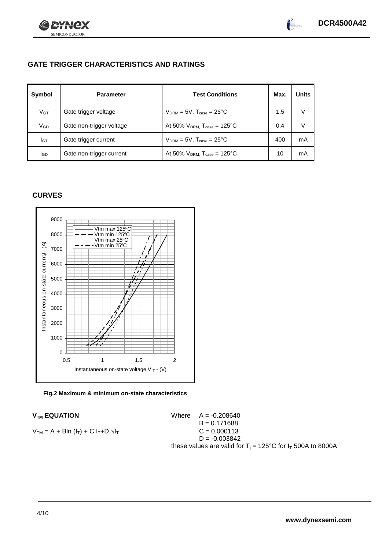

## **GATE TRIGGER CHARACTERISTICS AND RATINGS**

| Symbol          | <b>Parameter</b>         | <b>Test Conditions</b>                       | Max. | Units |
|-----------------|--------------------------|----------------------------------------------|------|-------|
| V <sub>GT</sub> | Gate trigger voltage     | $V_{DRM} = 5V$ , $T_{case} = 25^{\circ}C$    | 1.5  |       |
| $\rm V_{GD}$    | Gate non-trigger voltage | At 50% $V_{DRM}$ , $T_{case} = 125^{\circ}C$ | 0.4  |       |
| Iст             | Gate trigger current     | $V_{DRM} = 5V$ , $T_{case} = 25^{\circ}C$    | 400  | mA    |
| IGD             | Gate non-trigger current | At 50% $V_{DRM}$ , $T_{case} = 125^{\circ}C$ | 10   | mA    |

## **CURVES**

SEMICONDUCTOR

72X



**Fig.2 Maximum & minimum on-state characteristics**

$$
V_{TM} = A + B\ln (I_T) + C.I_T + D.\sqrt{I_T}
$$
  
 
$$
V = 0.000113
$$
  
 
$$
S = 0.000113
$$

 $V_{TM}$  **EQUATION** Where  $A = -0.208640$  $B = 0.171688$  $D = -0.003842$ these values are valid for  $T_i = 125^{\circ}C$  for  $I_T$  500A to 8000A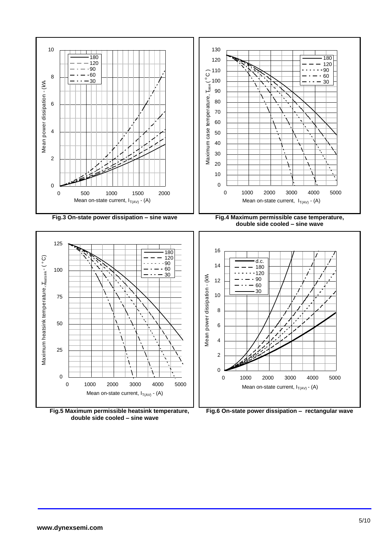

**Fig.5 Maximum permissible heatsink temperature, double side cooled – sine wave**

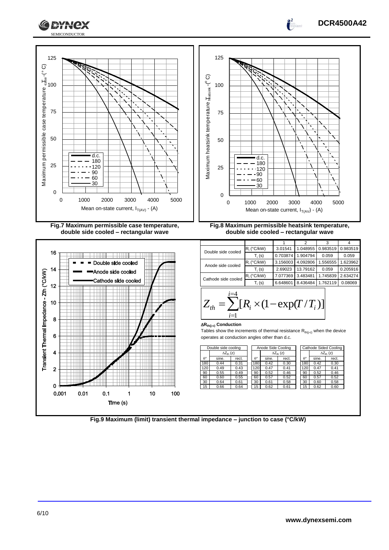





**Fig.9 Maximum (limit) transient thermal impedance – junction to case (°C/kW)**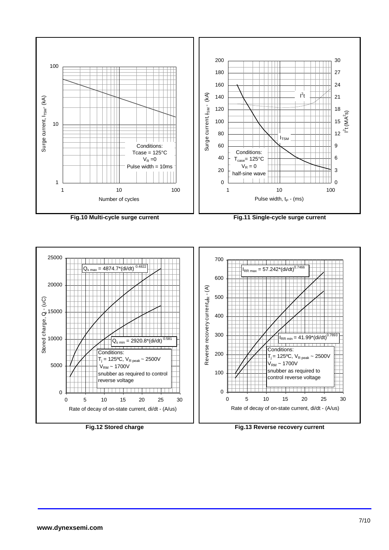

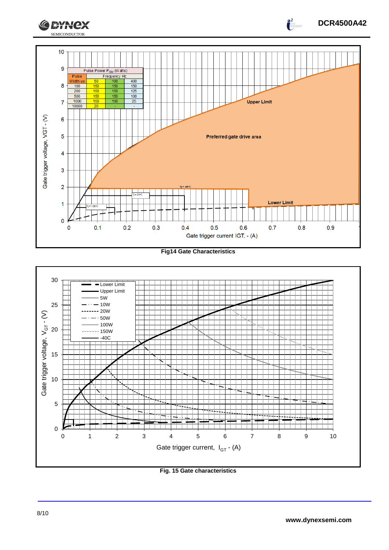

**Fig14 Gate Characteristics**



**Fig. 15 Gate characteristics**

**DCR4500A42**

 $\int_{0}^{2}$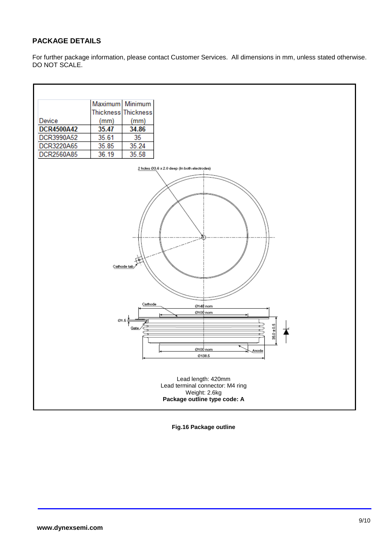## **PACKAGE DETAILS**

For further package information, please contact Customer Services. All dimensions in mm, unless stated otherwise. DO NOT SCALE.



**Fig.16 Package outline**